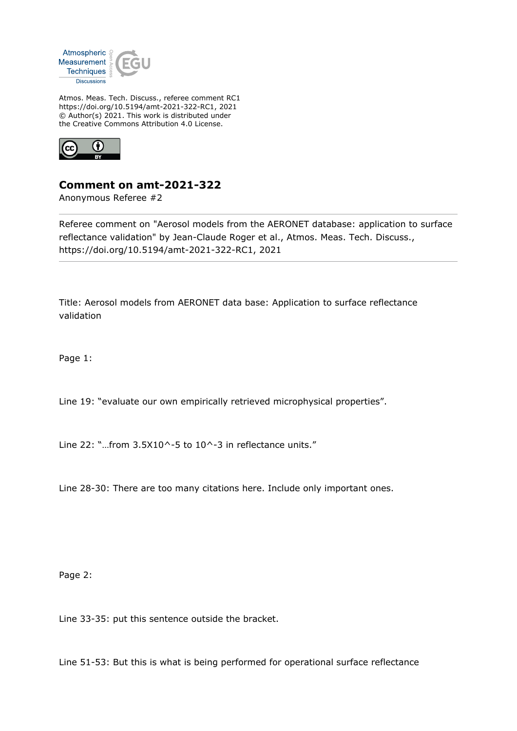

Atmos. Meas. Tech. Discuss., referee comment RC1 https://doi.org/10.5194/amt-2021-322-RC1, 2021 © Author(s) 2021. This work is distributed under the Creative Commons Attribution 4.0 License.



## **Comment on amt-2021-322**

Anonymous Referee #2

Referee comment on "Aerosol models from the AERONET database: application to surface reflectance validation" by Jean-Claude Roger et al., Atmos. Meas. Tech. Discuss., https://doi.org/10.5194/amt-2021-322-RC1, 2021

Title: Aerosol models from AERONET data base: Application to surface reflectance validation

Page 1:

Line 19: "evaluate our own empirically retrieved microphysical properties".

Line 22: "...from  $3.5X10^{\wedge}$ -5 to  $10^{\wedge}$ -3 in reflectance units."

Line 28-30: There are too many citations here. Include only important ones.

Page 2:

Line 33-35: put this sentence outside the bracket.

Line 51-53: But this is what is being performed for operational surface reflectance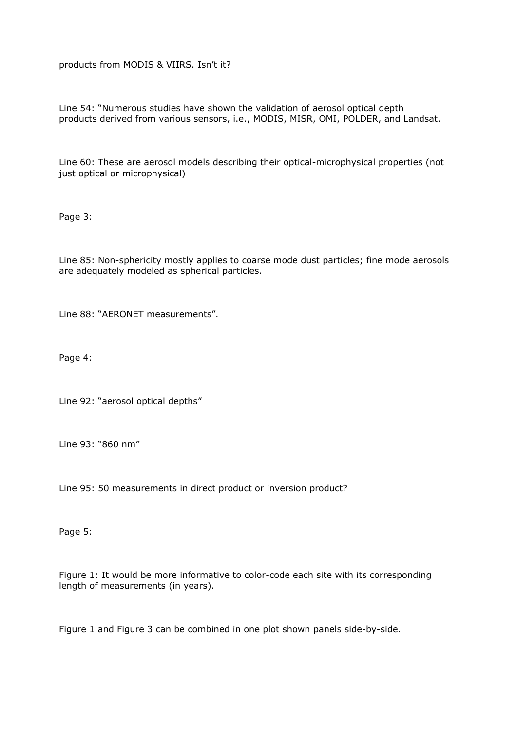products from MODIS & VIIRS. Isn't it?

Line 54: "Numerous studies have shown the validation of aerosol optical depth products derived from various sensors, i.e., MODIS, MISR, OMI, POLDER, and Landsat.

Line 60: These are aerosol models describing their optical-microphysical properties (not just optical or microphysical)

Page 3:

Line 85: Non-sphericity mostly applies to coarse mode dust particles; fine mode aerosols are adequately modeled as spherical particles.

Line 88: "AERONET measurements".

Page 4:

Line 92: "aerosol optical depths"

Line 93: "860 nm"

Line 95: 50 measurements in direct product or inversion product?

Page 5:

Figure 1: It would be more informative to color-code each site with its corresponding length of measurements (in years).

Figure 1 and Figure 3 can be combined in one plot shown panels side-by-side.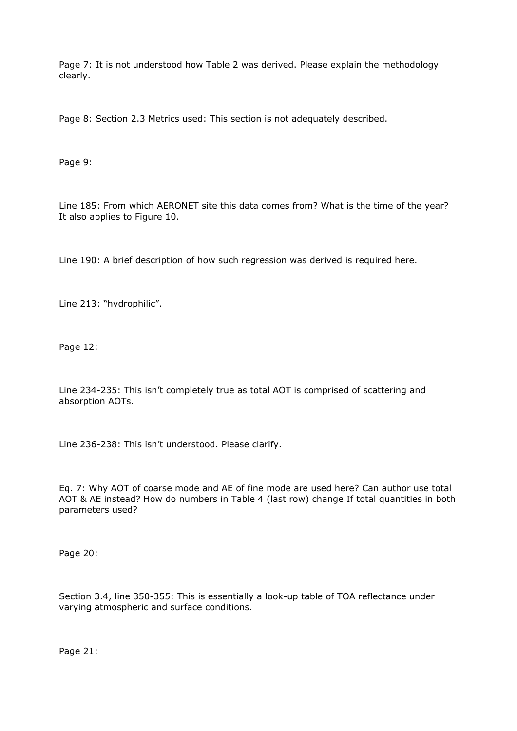Page 7: It is not understood how Table 2 was derived. Please explain the methodology clearly.

Page 8: Section 2.3 Metrics used: This section is not adequately described.

Page 9:

Line 185: From which AERONET site this data comes from? What is the time of the year? It also applies to Figure 10.

Line 190: A brief description of how such regression was derived is required here.

Line 213: "hydrophilic".

Page 12:

Line 234-235: This isn't completely true as total AOT is comprised of scattering and absorption AOTs.

Line 236-238: This isn't understood. Please clarify.

Eq. 7: Why AOT of coarse mode and AE of fine mode are used here? Can author use total AOT & AE instead? How do numbers in Table 4 (last row) change If total quantities in both parameters used?

Page 20:

Section 3.4, line 350-355: This is essentially a look-up table of TOA reflectance under varying atmospheric and surface conditions.

Page 21: